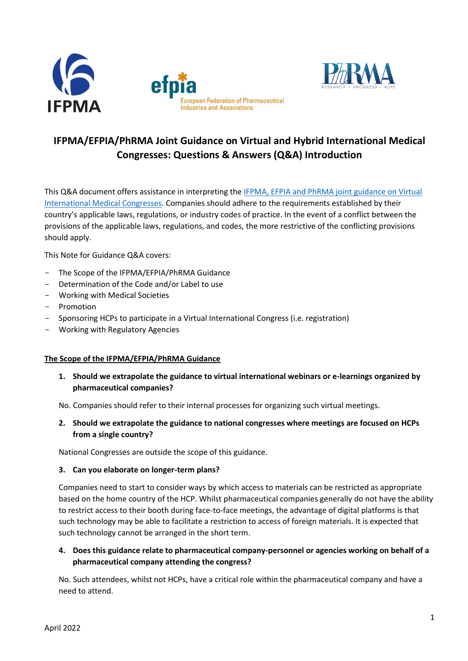



# **IFPMA/EFPIA/PhRMA Joint Guidance on Virtual and Hybrid International Medical Congresses: Questions & Answers (Q&A) Introduction**

This Q&A document offers assistance in interpreting the [IFPMA, EFPIA and PhRMA joint guidance on Virtual](https://www.ifpma.org/resource-centre/joint-guidance-virtual-hybrid-international-medical-congresses/)  [International Medical Congresses.](https://www.ifpma.org/resource-centre/joint-guidance-virtual-hybrid-international-medical-congresses/) Companies should adhere to the requirements established by their country's applicable laws, regulations, or industry codes of practice. In the event of a conflict between the provisions of the applicable laws, regulations, and codes, the more restrictive of the conflicting provisions should apply.

This Note for Guidance Q&A covers:

- The Scope of the IFPMA/EFPIA/PhRMA Guidance
- Determination of the Code and/or Label to use
- Working with Medical Societies
- Promotion
- Sponsoring HCPs to participate in a Virtual International Congress (i.e. registration)
- Working with Regulatory Agencies

#### **The Scope of the IFPMA/EFPIA/PhRMA Guidance**

**1. Should we extrapolate the guidance to virtual international webinars or e-learnings organized by pharmaceutical companies?**

No. Companies should refer to their internal processes for organizing such virtual meetings.

**2. Should we extrapolate the guidance to national congresses where meetings are focused on HCPs from a single country?**

National Congresses are outside the scope of this guidance.

#### **3. Can you elaborate on longer-term plans?**

Companies need to start to consider ways by which access to materials can be restricted as appropriate based on the home country of the HCP. Whilst pharmaceutical companies generally do not have the ability to restrict access to their booth during face-to-face meetings, the advantage of digital platforms is that such technology may be able to facilitate a restriction to access of foreign materials. It is expected that such technology cannot be arranged in the short term.

**4. Does this guidance relate to pharmaceutical company-personnel or agencies working on behalf of a pharmaceutical company attending the congress?** 

No. Such attendees, whilst not HCPs, have a critical role within the pharmaceutical company and have a need to attend.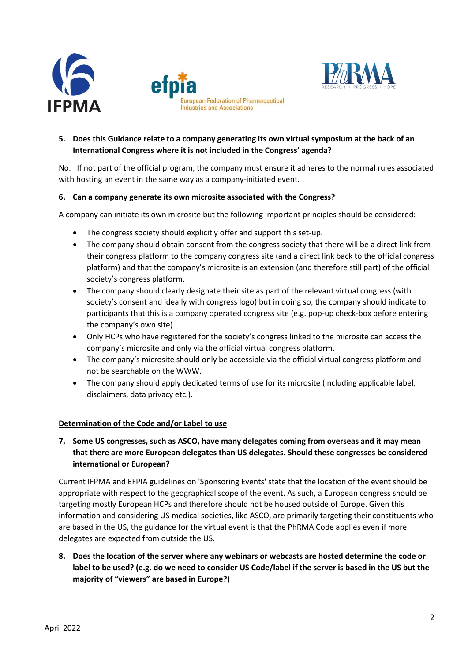



# **5. Does this Guidance relate to a company generating its own virtual symposium at the back of an International Congress where it is not included in the Congress' agenda?**

No. If not part of the official program, the company must ensure it adheres to the normal rules associated with hosting an event in the same way as a company-initiated event.

#### **6. Can a company generate its own microsite associated with the Congress?**

A company can initiate its own microsite but the following important principles should be considered:

- The congress society should explicitly offer and support this set-up.
- The company should obtain consent from the congress society that there will be a direct link from their congress platform to the company congress site (and a direct link back to the official congress platform) and that the company's microsite is an extension (and therefore still part) of the official society's congress platform.
- The company should clearly designate their site as part of the relevant virtual congress (with society's consent and ideally with congress logo) but in doing so, the company should indicate to participants that this is a company operated congress site (e.g. pop-up check-box before entering the company's own site).
- Only HCPs who have registered for the society's congress linked to the microsite can access the company's microsite and only via the official virtual congress platform.
- The company's microsite should only be accessible via the official virtual congress platform and not be searchable on the WWW.
- The company should apply dedicated terms of use for its microsite (including applicable label, disclaimers, data privacy etc.).

#### **Determination of the Code and/or Label to use**

**7. Some US congresses, such as ASCO, have many delegates coming from overseas and it may mean that there are more European delegates than US delegates. Should these congresses be considered international or European?**

Current IFPMA and EFPIA guidelines on 'Sponsoring Events' state that the location of the event should be appropriate with respect to the geographical scope of the event. As such, a European congress should be targeting mostly European HCPs and therefore should not be housed outside of Europe. Given this information and considering US medical societies, like ASCO, are primarily targeting their constituents who are based in the US, the guidance for the virtual event is that the PhRMA Code applies even if more delegates are expected from outside the US.

**8. Does the location of the server where any webinars or webcasts are hosted determine the code or label to be used? (e.g. do we need to consider US Code/label if the server is based in the US but the majority of "viewers" are based in Europe?)**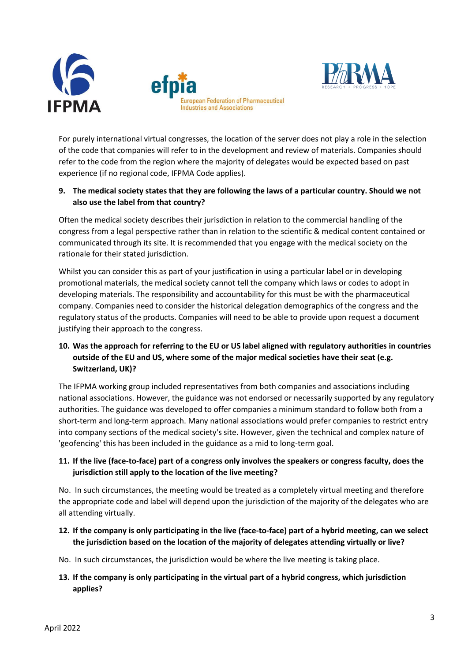



For purely international virtual congresses, the location of the server does not play a role in the selection of the code that companies will refer to in the development and review of materials. Companies should refer to the code from the region where the majority of delegates would be expected based on past experience (if no regional code, IFPMA Code applies).

# **9. The medical society states that they are following the laws of a particular country. Should we not also use the label from that country?**

Often the medical society describes their jurisdiction in relation to the commercial handling of the congress from a legal perspective rather than in relation to the scientific & medical content contained or communicated through its site. It is recommended that you engage with the medical society on the rationale for their stated jurisdiction.

Whilst you can consider this as part of your justification in using a particular label or in developing promotional materials, the medical society cannot tell the company which laws or codes to adopt in developing materials. The responsibility and accountability for this must be with the pharmaceutical company. Companies need to consider the historical delegation demographics of the congress and the regulatory status of the products. Companies will need to be able to provide upon request a document justifying their approach to the congress.

# **10. Was the approach for referring to the EU or US label aligned with regulatory authorities in countries outside of the EU and US, where some of the major medical societies have their seat (e.g. Switzerland, UK)?**

The IFPMA working group included representatives from both companies and associations including national associations. However, the guidance was not endorsed or necessarily supported by any regulatory authorities. The guidance was developed to offer companies a minimum standard to follow both from a short-term and long-term approach. Many national associations would prefer companies to restrict entry into company sections of the medical society's site. However, given the technical and complex nature of 'geofencing' this has been included in the guidance as a mid to long-term goal.

# **11. If the live (face-to-face) part of a congress only involves the speakers or congress faculty, does the jurisdiction still apply to the location of the live meeting?**

No. In such circumstances, the meeting would be treated as a completely virtual meeting and therefore the appropriate code and label will depend upon the jurisdiction of the majority of the delegates who are all attending virtually.

**12. If the company is only participating in the live (face-to-face) part of a hybrid meeting, can we select the jurisdiction based on the location of the majority of delegates attending virtually or live?** 

No. In such circumstances, the jurisdiction would be where the live meeting is taking place.

**13. If the company is only participating in the virtual part of a hybrid congress, which jurisdiction applies?**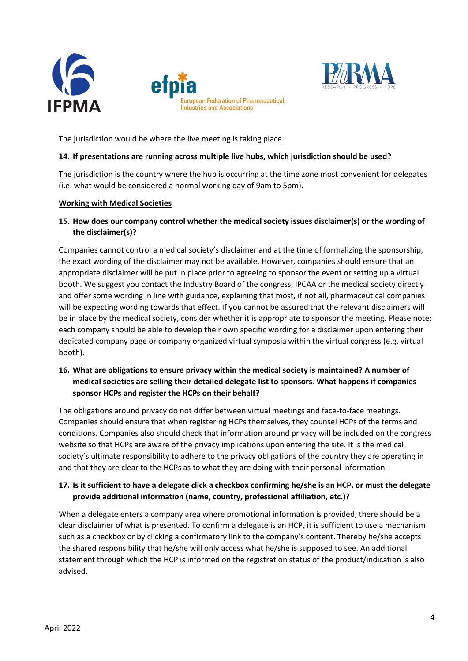



The jurisdiction would be where the live meeting is taking place.

#### **14. If presentations are running across multiple live hubs, which jurisdiction should be used?**

The jurisdiction is the country where the hub is occurring at the time zone most convenient for delegates (i.e. what would be considered a normal working day of 9am to 5pm).

#### **Working with Medical Societies**

## **15. How does our company control whether the medical society issues disclaimer(s) or the wording of the disclaimer(s)?**

Companies cannot control a medical society's disclaimer and at the time of formalizing the sponsorship, the exact wording of the disclaimer may not be available. However, companies should ensure that an appropriate disclaimer will be put in place prior to agreeing to sponsor the event or setting up a virtual booth. We suggest you contact the Industry Board of the congress, IPCAA or the medical society directly and offer some wording in line with guidance, explaining that most, if not all, pharmaceutical companies will be expecting wording towards that effect. If you cannot be assured that the relevant disclaimers will be in place by the medical society, consider whether it is appropriate to sponsor the meeting. Please note: each company should be able to develop their own specific wording for a disclaimer upon entering their dedicated company page or company organized virtual symposia within the virtual congress (e.g. virtual booth).

### **16. What are obligations to ensure privacy within the medical society is maintained? A number of medical societies are selling their detailed delegate list to sponsors. What happens if companies sponsor HCPs and register the HCPs on their behalf?**

The obligations around privacy do not differ between virtual meetings and face-to-face meetings. Companies should ensure that when registering HCPs themselves, they counsel HCPs of the terms and conditions. Companies also should check that information around privacy will be included on the congress website so that HCPs are aware of the privacy implications upon entering the site. It is the medical society's ultimate responsibility to adhere to the privacy obligations of the country they are operating in and that they are clear to the HCPs as to what they are doing with their personal information.

## **17. Is it sufficient to have a delegate click a checkbox confirming he/she is an HCP, or must the delegate provide additional information (name, country, professional affiliation, etc.)?**

When a delegate enters a company area where promotional information is provided, there should be a clear disclaimer of what is presented. To confirm a delegate is an HCP, it is sufficient to use a mechanism such as a checkbox or by clicking a confirmatory link to the company's content. Thereby he/she accepts the shared responsibility that he/she will only access what he/she is supposed to see. An additional statement through which the HCP is informed on the registration status of the product/indication is also advised.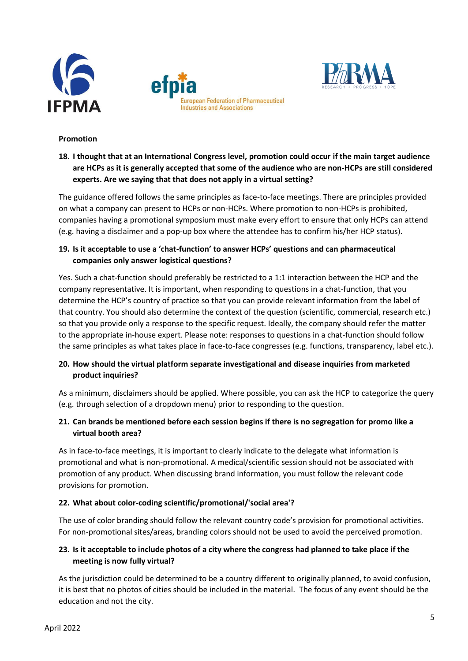





#### **Promotion**

# **18. I thought that at an International Congress level, promotion could occur if the main target audience are HCPs as it is generally accepted that some of the audience who are non-HCPs are still considered experts. Are we saying that that does not apply in a virtual setting?**

The guidance offered follows the same principles as face-to-face meetings. There are principles provided on what a company can present to HCPs or non-HCPs. Where promotion to non-HCPs is prohibited, companies having a promotional symposium must make every effort to ensure that only HCPs can attend (e.g. having a disclaimer and a pop-up box where the attendee has to confirm his/her HCP status).

## **19. Is it acceptable to use a 'chat-function' to answer HCPs' questions and can pharmaceutical companies only answer logistical questions?**

Yes. Such a chat-function should preferably be restricted to a 1:1 interaction between the HCP and the company representative. It is important, when responding to questions in a chat-function, that you determine the HCP's country of practice so that you can provide relevant information from the label of that country. You should also determine the context of the question (scientific, commercial, research etc.) so that you provide only a response to the specific request. Ideally, the company should refer the matter to the appropriate in-house expert. Please note: responses to questions in a chat-function should follow the same principles as what takes place in face-to-face congresses (e.g. functions, transparency, label etc.).

# **20. How should the virtual platform separate investigational and disease inquiries from marketed product inquiries?**

As a minimum, disclaimers should be applied. Where possible, you can ask the HCP to categorize the query (e.g. through selection of a dropdown menu) prior to responding to the question.

# **21. Can brands be mentioned before each session begins if there is no segregation for promo like a virtual booth area?**

As in face-to-face meetings, it is important to clearly indicate to the delegate what information is promotional and what is non-promotional. A medical/scientific session should not be associated with promotion of any product. When discussing brand information, you must follow the relevant code provisions for promotion.

# **22. What about color-coding scientific/promotional/'social area'?**

The use of color branding should follow the relevant country code's provision for promotional activities. For non-promotional sites/areas, branding colors should not be used to avoid the perceived promotion.

# **23. Is it acceptable to include photos of a city where the congress had planned to take place if the meeting is now fully virtual?**

As the jurisdiction could be determined to be a country different to originally planned, to avoid confusion, it is best that no photos of cities should be included in the material. The focus of any event should be the education and not the city.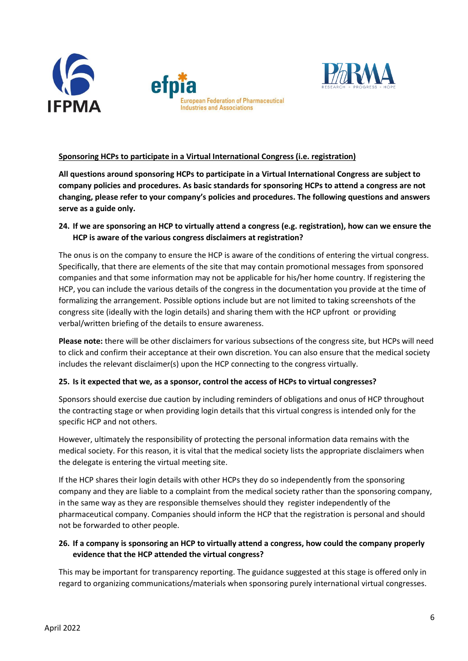





# **Sponsoring HCPs to participate in a Virtual International Congress (i.e. registration)**

**All questions around sponsoring HCPs to participate in a Virtual International Congress are subject to company policies and procedures. As basic standards for sponsoring HCPs to attend a congress are not changing, please refer to your company's policies and procedures. The following questions and answers serve as a guide only.** 

### **24. If we are sponsoring an HCP to virtually attend a congress (e.g. registration), how can we ensure the HCP is aware of the various congress disclaimers at registration?**

The onus is on the company to ensure the HCP is aware of the conditions of entering the virtual congress. Specifically, that there are elements of the site that may contain promotional messages from sponsored companies and that some information may not be applicable for his/her home country. If registering the HCP, you can include the various details of the congress in the documentation you provide at the time of formalizing the arrangement. Possible options include but are not limited to taking screenshots of the congress site (ideally with the login details) and sharing them with the HCP upfront or providing verbal/written briefing of the details to ensure awareness.

**Please note:** there will be other disclaimers for various subsections of the congress site, but HCPs will need to click and confirm their acceptance at their own discretion. You can also ensure that the medical society includes the relevant disclaimer(s) upon the HCP connecting to the congress virtually.

#### **25. Is it expected that we, as a sponsor, control the access of HCPs to virtual congresses?**

Sponsors should exercise due caution by including reminders of obligations and onus of HCP throughout the contracting stage or when providing login details that this virtual congress is intended only for the specific HCP and not others.

However, ultimately the responsibility of protecting the personal information data remains with the medical society. For this reason, it is vital that the medical society lists the appropriate disclaimers when the delegate is entering the virtual meeting site.

If the HCP shares their login details with other HCPs they do so independently from the sponsoring company and they are liable to a complaint from the medical society rather than the sponsoring company, in the same way as they are responsible themselves should they register independently of the pharmaceutical company. Companies should inform the HCP that the registration is personal and should not be forwarded to other people.

#### **26. If a company is sponsoring an HCP to virtually attend a congress, how could the company properly evidence that the HCP attended the virtual congress?**

This may be important for transparency reporting. The guidance suggested at this stage is offered only in regard to organizing communications/materials when sponsoring purely international virtual congresses.